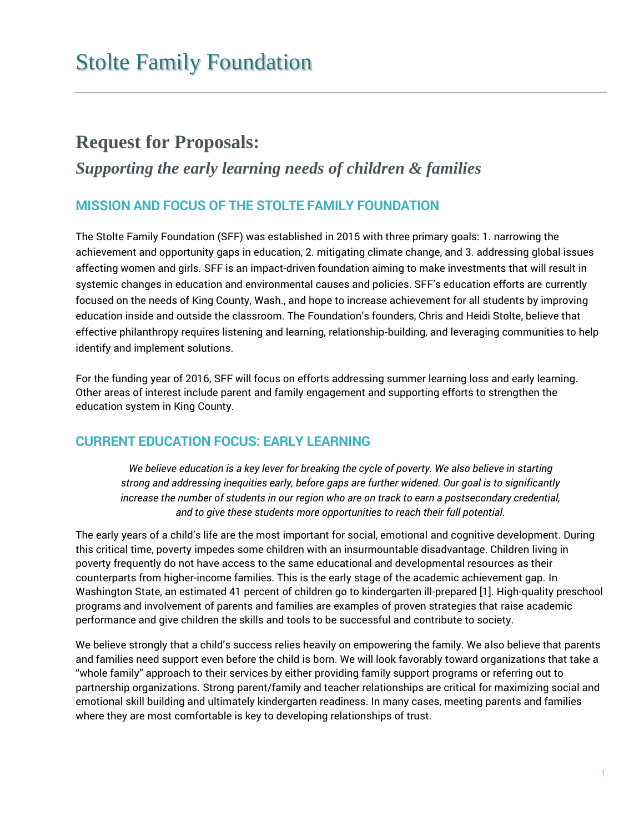## **Request for Proposals:**

## *Supporting the early learning needs of children & families*

### **MISSION AND FOCUS OF THE STOLTE FAMILY FOUNDATION**

The Stolte Family Foundation (SFF) was established in 2015 with three primary goals: 1. narrowing the achievement and opportunity gaps in education, 2. mitigating climate change, and 3. addressing global issues affecting women and girls. SFF is an impact-driven foundation aiming to make investments that will result in systemic changes in education and environmental causes and policies. SFF's education efforts are currently focused on the needs of King County, Wash., and hope to increase achievement for all students by improving education inside and outside the classroom. The Foundation's founders, Chris and Heidi Stolte, believe that effective philanthropy requires listening and learning, relationship-building, and leveraging communities to help identify and implement solutions.

For the funding year of 2016, SFF will focus on efforts addressing summer learning loss and early learning. Other areas of interest include parent and family engagement and supporting efforts to strengthen the education system in King County.

## **CURRENT EDUCATION FOCUS: EARLY LEARNING**

*We believe education is a key lever for breaking the cycle of poverty. We also believe in starting strong and addressing inequities early, before gaps are further widened. Our goal is to significantly increase the number of students in our region who are on track to earn a postsecondary credential, and to give these students more opportunities to reach their full potential.* 

The early years of a child's life are the most important for social, emotional and cognitive development. During this critical time, poverty impedes some children with an insurmountable disadvantage. Children living in poverty frequently do not have access to the same educational and developmental resources as their counterparts from higher-income families. This is the early stage of the academic achievement gap. In Washington State, an estimated 41 percent of children go to kindergarten ill-prepared [1]. High-quality preschool programs and involvement of parents and families are examples of proven strategies that raise academic performance and give children the skills and tools to be successful and contribute to society.

We believe strongly that a child's success relies heavily on empowering the family. We also believe that parents and families need support even before the child is born. We will look favorably toward organizations that take a "whole family" approach to their services by either providing family support programs or referring out to partnership organizations. Strong parent/family and teacher relationships are critical for maximizing social and emotional skill building and ultimately kindergarten readiness. In many cases, meeting parents and families where they are most comfortable is key to developing relationships of trust.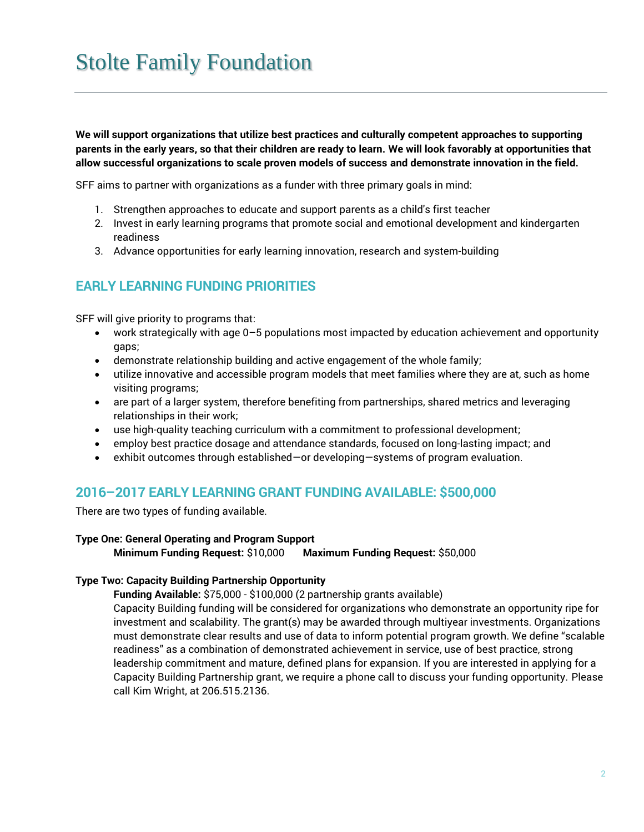**We will support organizations that utilize best practices and culturally competent approaches to supporting parents in the early years, so that their children are ready to learn. We will look favorably at opportunities that allow successful organizations to scale proven models of success and demonstrate innovation in the field.** 

SFF aims to partner with organizations as a funder with three primary goals in mind:

- 1. Strengthen approaches to educate and support parents as a child's first teacher
- 2. Invest in early learning programs that promote social and emotional development and kindergarten readiness
- 3. Advance opportunities for early learning innovation, research and system-building

## **EARLY LEARNING FUNDING PRIORITIES**

SFF will give priority to programs that:

- work strategically with age 0–5 populations most impacted by education achievement and opportunity gaps;
- demonstrate relationship building and active engagement of the whole family;
- utilize innovative and accessible program models that meet families where they are at, such as home visiting programs;
- are part of a larger system, therefore benefiting from partnerships, shared metrics and leveraging relationships in their work;
- use high-quality teaching curriculum with a commitment to professional development;
- employ best practice dosage and attendance standards, focused on long-lasting impact; and
- exhibit outcomes through established—or developing—systems of program evaluation.

## **2016–2017 EARLY LEARNING GRANT FUNDING AVAILABLE: \$500,000**

There are two types of funding available.

#### **Type One: General Operating and Program Support**

**Minimum Funding Request:** \$10,000 **Maximum Funding Request:** \$50,000

#### **Type Two: Capacity Building Partnership Opportunity**

**Funding Available:** \$75,000 - \$100,000 (2 partnership grants available)

Capacity Building funding will be considered for organizations who demonstrate an opportunity ripe for investment and scalability. The grant(s) may be awarded through multiyear investments. Organizations must demonstrate clear results and use of data to inform potential program growth. We define "scalable readiness" as a combination of demonstrated achievement in service, use of best practice, strong leadership commitment and mature, defined plans for expansion. If you are interested in applying for a Capacity Building Partnership grant, we require a phone call to discuss your funding opportunity. Please call Kim Wright, at 206.515.2136.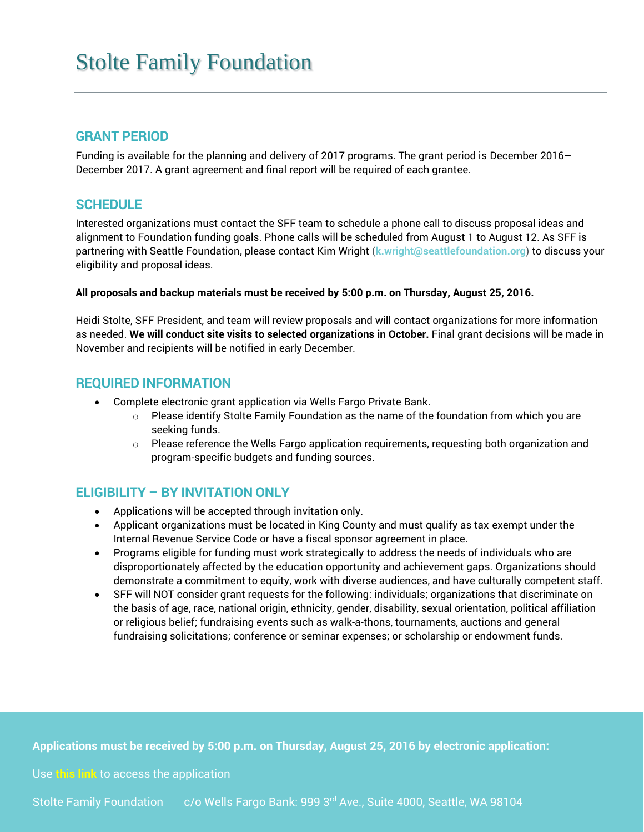#### **GRANT PERIOD**

Funding is available for the planning and delivery of 2017 programs. The grant period is December 2016– December 2017. A grant agreement and final report will be required of each grantee.

### **SCHEDULE**

Interested organizations must contact the SFF team to schedule a phone call to discuss proposal ideas and alignment to Foundation funding goals. Phone calls will be scheduled from August 1 to August 12. As SFF is partnering with Seattle Foundation, please contact Kim Wright (**[k.wright@seattlefoundation.org](mailto:k.wright@seattlefoundation.org)**) to discuss your eligibility and proposal ideas.

#### **All proposals and backup materials must be received by 5:00 p.m. on Thursday, August 25, 2016.**

Heidi Stolte, SFF President, and team will review proposals and will contact organizations for more information as needed. **We will conduct site visits to selected organizations in October.** Final grant decisions will be made in November and recipients will be notified in early December.

### **REQUIRED INFORMATION**

- Complete electronic grant application via Wells Fargo Private Bank.
	- $\circ$  Please identify Stolte Family Foundation as the name of the foundation from which you are seeking funds.
	- $\circ$  Please reference the Wells Fargo application requirements, requesting both organization and program-specific budgets and funding sources.

## **ELIGIBILITY – BY INVITATION ONLY**

- Applications will be accepted through invitation only.
- Applicant organizations must be located in King County and must qualify as tax exempt under the Internal Revenue Service Code or have a fiscal sponsor agreement in place.
- Programs eligible for funding must work strategically to address the needs of individuals who are disproportionately affected by the education opportunity and achievement gaps. Organizations should demonstrate a commitment to equity, work with diverse audiences, and have culturally competent staff.
- SFF will NOT consider grant requests for the following: individuals; organizations that discriminate on the basis of age, race, national origin, ethnicity, gender, disability, sexual orientation, political affiliation or religious belief; fundraising events such as walk-a-thons, tournaments, auctions and general fundraising solicitations; conference or seminar expenses; or scholarship or endowment funds.

Applications must be received by 5:00 p.m. on Thursday, August 25, 2016 by electronic application:

#### Use **[this link](https://www.grantrequest.com/SID_574/?SA=SNA&FID=35075)** to access the application